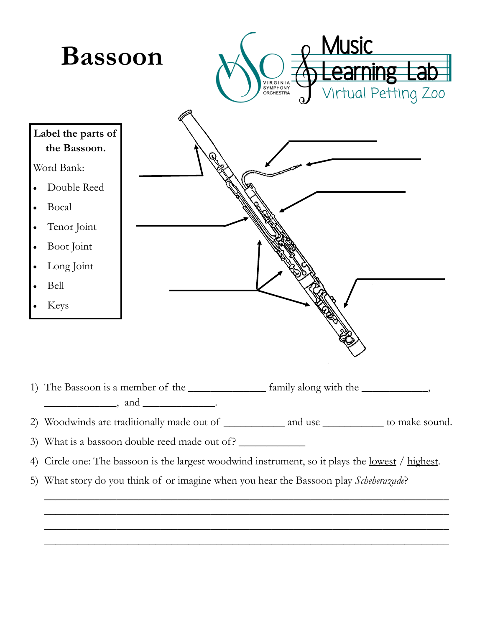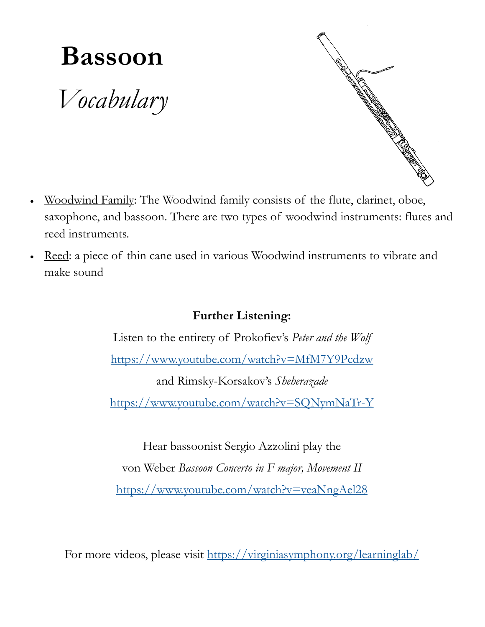## **Bassoon**

*Vocabulary*



- saxophone, and bassoon. There are two types of woodwind instruments: flutes and reed instruments.
- Reed: a piece of thin cane used in various Woodwind instruments to vibrate and make sound

## **Further Listening:**

Listen to the entirety of Prokofiev's *Peter and the Wolf* <https://www.youtube.com/watch?v=MfM7Y9Pcdzw> and Rimsky-Korsakov's *Sheherazade* <https://www.youtube.com/watch?v=SQNymNaTr-Y>

Hear bassoonist Sergio Azzolini play the von Weber *Bassoon Concerto in F major, Movement II* <https://www.youtube.com/watch?v=veaNngAel28>

For more videos, please visit <https://virginiasymphony.org/learninglab/>